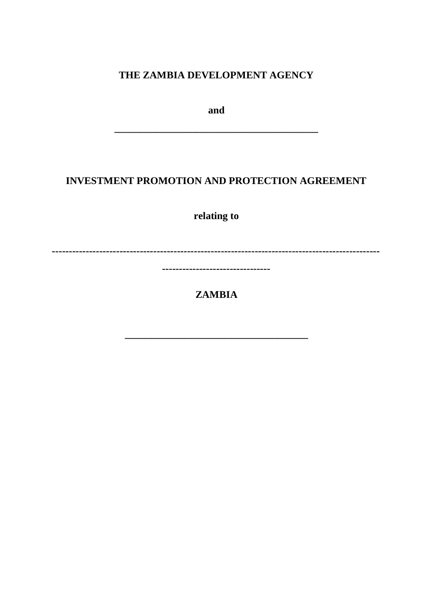# THE ZAMBIA DEVELOPMENT AGENCY

and

# **INVESTMENT PROMOTION AND PROTECTION AGREEMENT**

relating to

---------------------------------

**ZAMBIA**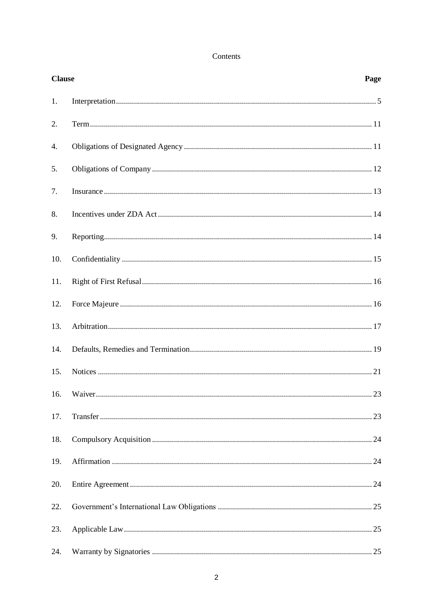### Contents

| <b>Clause</b> |  | Page |
|---------------|--|------|
| 1.            |  |      |
| 2.            |  |      |
| 4.            |  |      |
| 5.            |  |      |
| 7.            |  |      |
| 8.            |  |      |
| 9.            |  |      |
| 10.           |  |      |
| 11.           |  |      |
| 12.           |  |      |
| 13.           |  |      |
| 14.           |  |      |
| 15.           |  |      |
| 16.           |  |      |
| 17.           |  |      |
| 18.           |  |      |
| 19.           |  |      |
| 20.           |  |      |
| 22.           |  |      |
| 23.           |  |      |
| 24.           |  |      |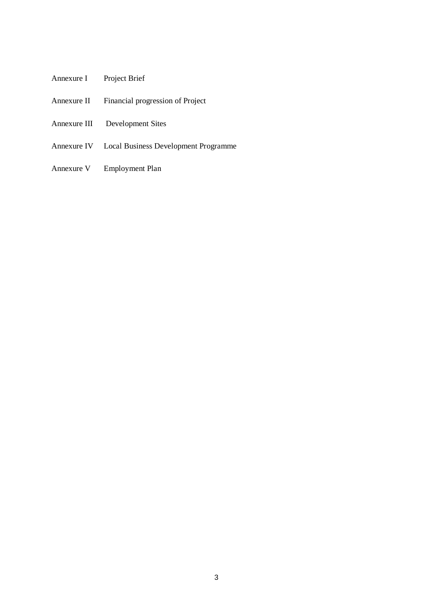- Annexure I Project Brief
- Annexure II Financial progression of Project
- Annexure III Development Sites
- Annexure IV Local Business Development Programme
- Annexure V Employment Plan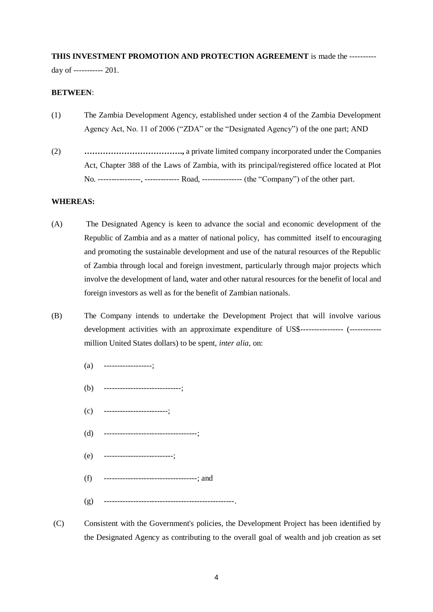#### **THIS INVESTMENT PROMOTION AND PROTECTION AGREEMENT** is made the ----------

day of ----------- 201.

#### **BETWEEN**:

- (1) The Zambia Development Agency, established under section 4 of the Zambia Development Agency Act, No. 11 of 2006 ("ZDA" or the "Designated Agency") of the one part; AND
- (2) **……………………………….,** a private limited company incorporated under the Companies Act, Chapter 388 of the Laws of Zambia, with its principal/registered office located at Plot No. ----------------, ------------- Road, --------------- (the "Company") of the other part.

#### **WHEREAS:**

- (A) The Designated Agency is keen to advance the social and economic development of the Republic of Zambia and as a matter of national policy, has committed itself to encouraging and promoting the sustainable development and use of the natural resources of the Republic of Zambia through local and foreign investment, particularly through major projects which involve the development of land, water and other natural resources for the benefit of local and foreign investors as well as for the benefit of Zambian nationals.
- (B) The Company intends to undertake the Development Project that will involve various development activities with an approximate expenditure of US\$----------------- (------------million United States dollars) to be spent, *inter alia*, on:
	- $(a)$  ------------------;
	- (b) -----------------------------;
	- $(c)$  --------------------------;
	- (d) -----------------------------------;
	- (e) --------------------------;
	- (f) -----------------------------------; and
	- (g) -------------------------------------------------.
- (C) Consistent with the Government's policies, the Development Project has been identified by the Designated Agency as contributing to the overall goal of wealth and job creation as set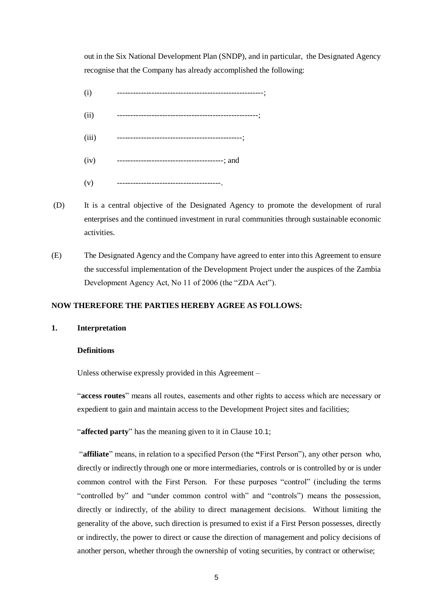out in the Six National Development Plan (SNDP), and in particular, the Designated Agency recognise that the Company has already accomplished the following:

- (i) -------------------------------------------------------;
- (ii) -----------------------------------------------------;
- (iii) -----------------------------------------------;
- (iv) ----------------------------------------; and
- (v) ---------------------------------------.
- (D) It is a central objective of the Designated Agency to promote the development of rural enterprises and the continued investment in rural communities through sustainable economic activities.
- (E) The Designated Agency and the Company have agreed to enter into this Agreement to ensure the successful implementation of the Development Project under the auspices of the Zambia Development Agency Act, No 11 of 2006 (the "ZDA Act").

## **NOW THEREFORE THE PARTIES HEREBY AGREE AS FOLLOWS:**

#### **1. Interpretation**

#### **Definitions**

Unless otherwise expressly provided in this Agreement –

"**access routes**" means all routes, easements and other rights to access which are necessary or expedient to gain and maintain access to the Development Project sites and facilities;

"**affected party**" has the meaning given to it in Clause [10.1](#page-15-0);

"**affiliate**" means, in relation to a specified Person (the **"**First Person"), any other person who, directly or indirectly through one or more intermediaries, controls or is controlled by or is under common control with the First Person. For these purposes "control" (including the terms "controlled by" and "under common control with" and "controls") means the possession, directly or indirectly, of the ability to direct management decisions. Without limiting the generality of the above, such direction is presumed to exist if a First Person possesses, directly or indirectly, the power to direct or cause the direction of management and policy decisions of another person, whether through the ownership of voting securities, by contract or otherwise;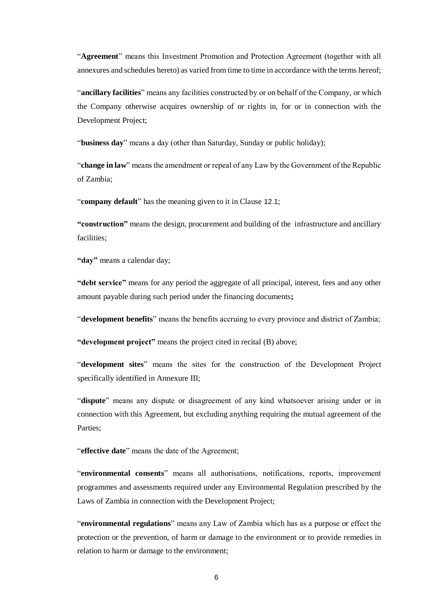"**Agreement**" means this Investment Promotion and Protection Agreement (together with all annexures and schedules hereto) as varied from time to time in accordance with the terms hereof;

"**ancillary facilities**" means any facilities constructed by or on behalf of the Company, or which the Company otherwise acquires ownership of or rights in, for or in connection with the Development Project;

"**business day**" means a day (other than Saturday, Sunday or public holiday);

"**change in law**" means the amendment or repeal of any Law by the Government of the Republic of Zambia;

"**company default**" has the meaning given to it in Clause [12.1](#page-18-0);

**"construction"** means the design, procurement and building of the infrastructure and ancillary facilities;

**"day"** means a calendar day;

**"debt service"** means for any period the aggregate of all principal, interest, fees and any other amount payable during such period under the financing documents**;**

"**development benefits**" means the benefits accruing to every province and district of Zambia;

**"development project"** means the project cited in recital (B) above;

"**development sites**" means the sites for the construction of the Development Project specifically identified in Annexure III;

"**dispute**" means any dispute or disagreement of any kind whatsoever arising under or in connection with this Agreement, but excluding anything requiring the mutual agreement of the Parties;

"**effective date**" means the date of the Agreement;

"**environmental consents**" means all authorisations, notifications, reports, improvement programmes and assessments required under any Environmental Regulation prescribed by the Laws of Zambia in connection with the Development Project;

"**environmental regulations**" means any Law of Zambia which has as a purpose or effect the protection or the prevention, of harm or damage to the environment or to provide remedies in relation to harm or damage to the environment;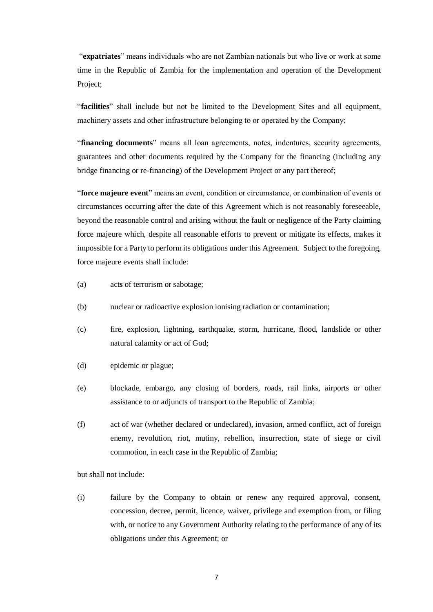"**expatriates**" means individuals who are not Zambian nationals but who live or work at some time in the Republic of Zambia for the implementation and operation of the Development Project;

"**facilities**" shall include but not be limited to the Development Sites and all equipment, machinery assets and other infrastructure belonging to or operated by the Company;

"**financing documents**" means all loan agreements, notes, indentures, security agreements, guarantees and other documents required by the Company for the financing (including any bridge financing or re-financing) of the Development Project or any part thereof;

"**force majeure event**" means an event, condition or circumstance, or combination of events or circumstances occurring after the date of this Agreement which is not reasonably foreseeable, beyond the reasonable control and arising without the fault or negligence of the Party claiming force majeure which, despite all reasonable efforts to prevent or mitigate its effects, makes it impossible for a Party to perform its obligations under this Agreement. Subject to the foregoing, force majeure events shall include:

- (a) act**s** of terrorism or sabotage;
- (b) nuclear or radioactive explosion ionising radiation or contamination;
- (c) fire, explosion, lightning, earthquake, storm, hurricane, flood, landslide or other natural calamity or act of God;
- (d) epidemic or plague;
- (e) blockade, embargo, any closing of borders, roads, rail links, airports or other assistance to or adjuncts of transport to the Republic of Zambia;
- (f) act of war (whether declared or undeclared), invasion, armed conflict, act of foreign enemy, revolution, riot, mutiny, rebellion, insurrection, state of siege or civil commotion, in each case in the Republic of Zambia;

but shall not include:

(i) failure by the Company to obtain or renew any required approval, consent, concession, decree, permit, licence, waiver, privilege and exemption from, or filing with, or notice to any Government Authority relating to the performance of any of its obligations under this Agreement; or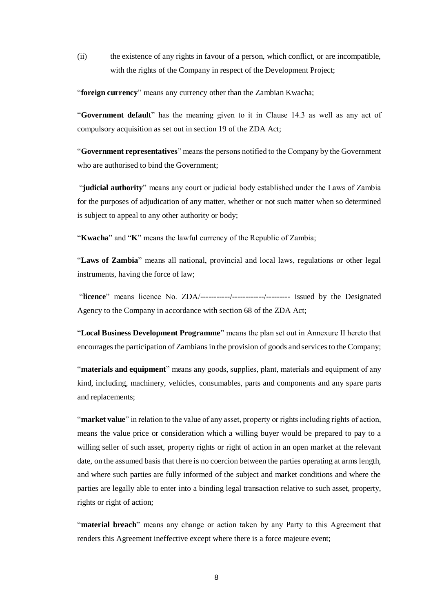(ii) the existence of any rights in favour of a person, which conflict, or are incompatible, with the rights of the Company in respect of the Development Project:

"**foreign currency**" means any currency other than the Zambian Kwacha;

"**Government default**" has the meaning given to it in Clause 14.3 as well as any act of compulsory acquisition as set out in section 19 of the ZDA Act;

"**Government representatives**" means the persons notified to the Company by the Government who are authorised to bind the Government;

"**judicial authority**" means any court or judicial body established under the Laws of Zambia for the purposes of adjudication of any matter, whether or not such matter when so determined is subject to appeal to any other authority or body;

"**Kwacha**" and "**K**" means the lawful currency of the Republic of Zambia;

"**Laws of Zambia**" means all national, provincial and local laws, regulations or other legal instruments, having the force of law;

"**licence**" means licence No. ZDA/-----------/------------/--------- issued by the Designated Agency to the Company in accordance with section 68 of the ZDA Act;

"**Local Business Development Programme**" means the plan set out in Annexure II hereto that encourages the participation of Zambians in the provision of goods and services to the Company;

"**materials and equipment**" means any goods, supplies, plant, materials and equipment of any kind, including, machinery, vehicles, consumables, parts and components and any spare parts and replacements;

"**market value**" in relation to the value of any asset, property or rights including rights of action, means the value price or consideration which a willing buyer would be prepared to pay to a willing seller of such asset, property rights or right of action in an open market at the relevant date, on the assumed basis that there is no coercion between the parties operating at arms length, and where such parties are fully informed of the subject and market conditions and where the parties are legally able to enter into a binding legal transaction relative to such asset, property, rights or right of action;

"**material breach**" means any change or action taken by any Party to this Agreement that renders this Agreement ineffective except where there is a force majeure event;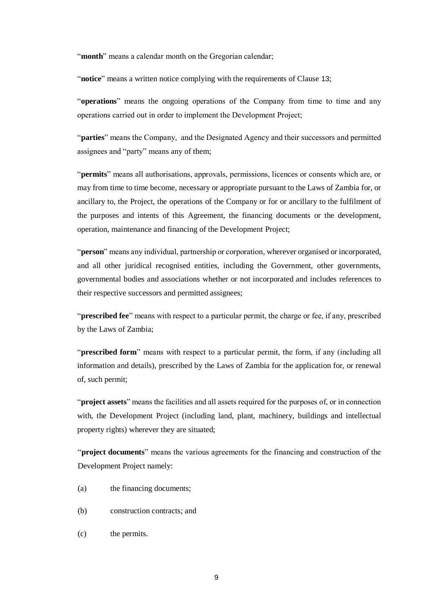"**month**" means a calendar month on the Gregorian calendar;

"**notice**" means a written notice complying with the requirements of Clause [13](#page-20-0);

"**operations**" means the ongoing operations of the Company from time to time and any operations carried out in order to implement the Development Project;

"**parties**" means the Company, and the Designated Agency and their successors and permitted assignees and "party" means any of them;

"**permits**" means all authorisations, approvals, permissions, licences or consents which are, or may from time to time become, necessary or appropriate pursuant to the Laws of Zambia for, or ancillary to, the Project, the operations of the Company or for or ancillary to the fulfilment of the purposes and intents of this Agreement, the financing documents or the development, operation, maintenance and financing of the Development Project;

"**person**" means any individual, partnership or corporation, wherever organised or incorporated, and all other juridical recognised entities, including the Government, other governments, governmental bodies and associations whether or not incorporated and includes references to their respective successors and permitted assignees;

"**prescribed fee**" means with respect to a particular permit, the charge or fee, if any, prescribed by the Laws of Zambia;

"**prescribed form**" means with respect to a particular permit, the form, if any (including all information and details), prescribed by the Laws of Zambia for the application for, or renewal of, such permit;

"**project assets**" means the facilities and all assets required for the purposes of, or in connection with, the Development Project (including land, plant, machinery, buildings and intellectual property rights) wherever they are situated;

"**project documents**" means the various agreements for the financing and construction of the Development Project namely:

- (a) the financing documents;
- (b) construction contracts; and
- (c) the permits.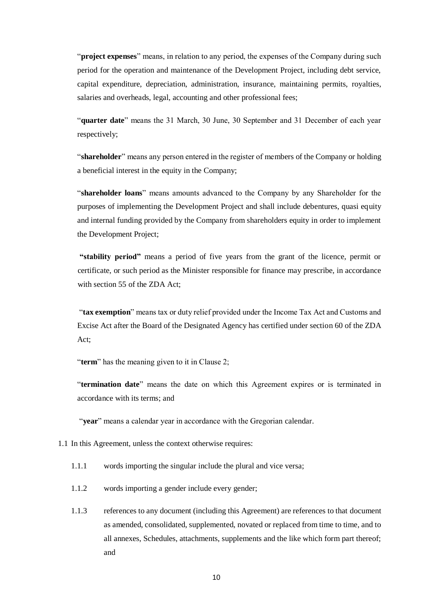"**project expenses**" means, in relation to any period, the expenses of the Company during such period for the operation and maintenance of the Development Project, including debt service, capital expenditure, depreciation, administration, insurance, maintaining permits, royalties, salaries and overheads, legal, accounting and other professional fees;

"**quarter date**" means the 31 March, 30 June, 30 September and 31 December of each year respectively;

"**shareholder**" means any person entered in the register of members of the Company or holding a beneficial interest in the equity in the Company;

"**shareholder loans**" means amounts advanced to the Company by any Shareholder for the purposes of implementing the Development Project and shall include debentures, quasi equity and internal funding provided by the Company from shareholders equity in order to implement the Development Project;

**"stability period"** means a period of five years from the grant of the licence, permit or certificate, or such period as the Minister responsible for finance may prescribe, in accordance with section 55 of the ZDA Act;

"**tax exemption**" means tax or duty relief provided under the Income Tax Act and Customs and Excise Act after the Board of the Designated Agency has certified under section 60 of the ZDA Act;

"**term**" has the meaning given to it in Clause 2;

"**termination date**" means the date on which this Agreement expires or is terminated in accordance with its terms; and

"**year**" means a calendar year in accordance with the Gregorian calendar.

- 1.1 In this Agreement, unless the context otherwise requires:
	- 1.1.1 words importing the singular include the plural and vice versa;
	- 1.1.2 words importing a gender include every gender;
	- 1.1.3 references to any document (including this Agreement) are references to that document as amended, consolidated, supplemented, novated or replaced from time to time, and to all annexes, Schedules, attachments, supplements and the like which form part thereof; and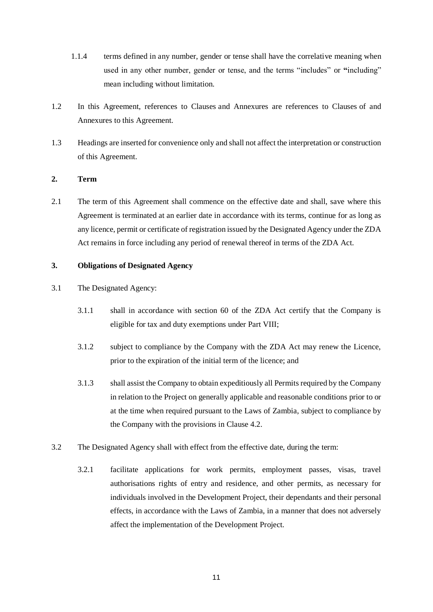- 1.1.4 terms defined in any number, gender or tense shall have the correlative meaning when used in any other number, gender or tense, and the terms "includes" or **"**including" mean including without limitation.
- 1.2 In this Agreement, references to Clauses and Annexures are references to Clauses of and Annexures to this Agreement.
- 1.3 Headings are inserted for convenience only and shall not affect the interpretation or construction of this Agreement.

# **2. Term**

2.1 The term of this Agreement shall commence on the effective date and shall, save where this Agreement is terminated at an earlier date in accordance with its terms, continue for as long as any licence, permit or certificate of registration issued by the Designated Agency under the ZDA Act remains in force including any period of renewal thereof in terms of the ZDA Act.

# **3. Obligations of Designated Agency**

- 3.1 The Designated Agency:
	- 3.1.1 shall in accordance with section 60 of the ZDA Act certify that the Company is eligible for tax and duty exemptions under Part VIII;
	- 3.1.2 subject to compliance by the Company with the ZDA Act may renew the Licence, prior to the expiration of the initial term of the licence; and
	- 3.1.3 shall assist the Company to obtain expeditiously all Permits required by the Company in relation to the Project on generally applicable and reasonable conditions prior to or at the time when required pursuant to the Laws of Zambia, subject to compliance by the Company with the provisions in Clause 4.2.
- 3.2 The Designated Agency shall with effect from the effective date, during the term:
	- 3.2.1 facilitate applications for work permits, employment passes, visas, travel authorisations rights of entry and residence, and other permits, as necessary for individuals involved in the Development Project, their dependants and their personal effects, in accordance with the Laws of Zambia, in a manner that does not adversely affect the implementation of the Development Project.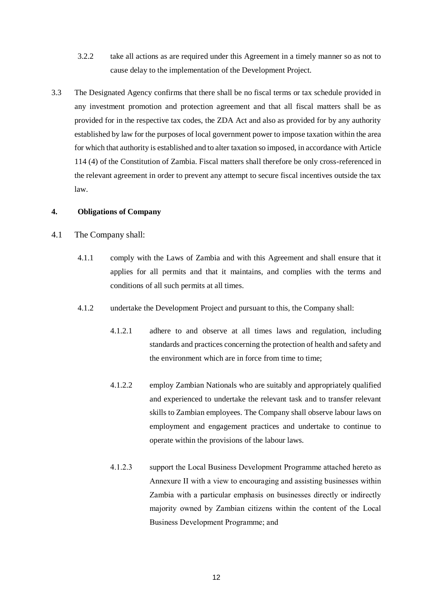- 3.2.2 take all actions as are required under this Agreement in a timely manner so as not to cause delay to the implementation of the Development Project.
- 3.3 The Designated Agency confirms that there shall be no fiscal terms or tax schedule provided in any investment promotion and protection agreement and that all fiscal matters shall be as provided for in the respective tax codes, the ZDA Act and also as provided for by any authority established by law for the purposes of local government power to impose taxation within the area for which that authority is established and to alter taxation so imposed, in accordance with Article 114 (4) of the Constitution of Zambia. Fiscal matters shall therefore be only cross-referenced in the relevant agreement in order to prevent any attempt to secure fiscal incentives outside the tax law.

# **4. Obligations of Company**

- 4.1 The Company shall:
	- 4.1.1 comply with the Laws of Zambia and with this Agreement and shall ensure that it applies for all permits and that it maintains, and complies with the terms and conditions of all such permits at all times.
	- 4.1.2 undertake the Development Project and pursuant to this, the Company shall:
		- 4.1.2.1 adhere to and observe at all times laws and regulation, including standards and practices concerning the protection of health and safety and the environment which are in force from time to time;
		- 4.1.2.2 employ Zambian Nationals who are suitably and appropriately qualified and experienced to undertake the relevant task and to transfer relevant skills to Zambian employees. The Company shall observe labour laws on employment and engagement practices and undertake to continue to operate within the provisions of the labour laws.
		- 4.1.2.3 support the Local Business Development Programme attached hereto as Annexure II with a view to encouraging and assisting businesses within Zambia with a particular emphasis on businesses directly or indirectly majority owned by Zambian citizens within the content of the Local Business Development Programme; and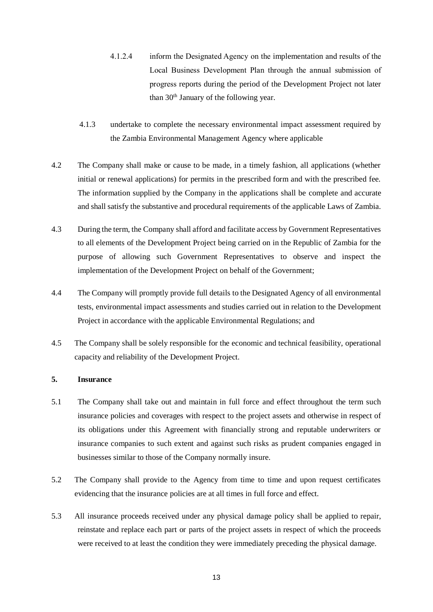- 4.1.2.4 inform the Designated Agency on the implementation and results of the Local Business Development Plan through the annual submission of progress reports during the period of the Development Project not later than 30th January of the following year.
- 4.1.3 undertake to complete the necessary environmental impact assessment required by the Zambia Environmental Management Agency where applicable
- 4.2 The Company shall make or cause to be made, in a timely fashion, all applications (whether initial or renewal applications) for permits in the prescribed form and with the prescribed fee. The information supplied by the Company in the applications shall be complete and accurate and shall satisfy the substantive and procedural requirements of the applicable Laws of Zambia.
- 4.3 During the term, the Company shall afford and facilitate access by Government Representatives to all elements of the Development Project being carried on in the Republic of Zambia for the purpose of allowing such Government Representatives to observe and inspect the implementation of the Development Project on behalf of the Government;
- 4.4 The Company will promptly provide full details to the Designated Agency of all environmental tests, environmental impact assessments and studies carried out in relation to the Development Project in accordance with the applicable Environmental Regulations; and
- 4.5 The Company shall be solely responsible for the economic and technical feasibility, operational capacity and reliability of the Development Project.

### **5. Insurance**

- 5.1 The Company shall take out and maintain in full force and effect throughout the term such insurance policies and coverages with respect to the project assets and otherwise in respect of its obligations under this Agreement with financially strong and reputable underwriters or insurance companies to such extent and against such risks as prudent companies engaged in businesses similar to those of the Company normally insure.
- 5.2 The Company shall provide to the Agency from time to time and upon request certificates evidencing that the insurance policies are at all times in full force and effect.
- 5.3 All insurance proceeds received under any physical damage policy shall be applied to repair, reinstate and replace each part or parts of the project assets in respect of which the proceeds were received to at least the condition they were immediately preceding the physical damage.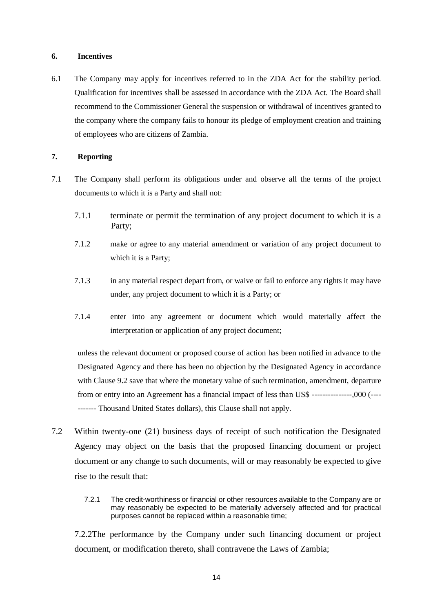#### **6. Incentives**

6.1 The Company may apply for incentives referred to in the ZDA Act for the stability period. Qualification for incentives shall be assessed in accordance with the ZDA Act. The Board shall recommend to the Commissioner General the suspension or withdrawal of incentives granted to the company where the company fails to honour its pledge of employment creation and training of employees who are citizens of Zambia.

# **7. Reporting**

- 7.1 The Company shall perform its obligations under and observe all the terms of the project documents to which it is a Party and shall not:
	- 7.1.1 terminate or permit the termination of any project document to which it is a Party;
	- 7.1.2 make or agree to any material amendment or variation of any project document to which it is a Party;
	- 7.1.3 in any material respect depart from, or waive or fail to enforce any rights it may have under, any project document to which it is a Party; or
	- 7.1.4 enter into any agreement or document which would materially affect the interpretation or application of any project document;

unless the relevant document or proposed course of action has been notified in advance to the Designated Agency and there has been no objection by the Designated Agency in accordance with Clause 9.2 save that where the monetary value of such termination, amendment, departure from or entry into an Agreement has a financial impact of less than US\$ ---------------,000 (---- ------- Thousand United States dollars), this Clause shall not apply.

- 7.2 Within twenty-one (21) business days of receipt of such notification the Designated Agency may object on the basis that the proposed financing document or project document or any change to such documents, will or may reasonably be expected to give rise to the result that:
	- 7.2.1 The credit-worthiness or financial or other resources available to the Company are or may reasonably be expected to be materially adversely affected and for practical purposes cannot be replaced within a reasonable time;

7.2.2The performance by the Company under such financing document or project document, or modification thereto, shall contravene the Laws of Zambia;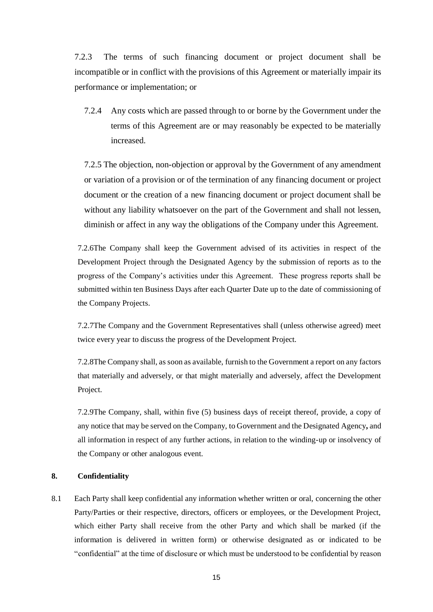7.2.3 The terms of such financing document or project document shall be incompatible or in conflict with the provisions of this Agreement or materially impair its performance or implementation; or

7.2.4 Any costs which are passed through to or borne by the Government under the terms of this Agreement are or may reasonably be expected to be materially increased.

7.2.5 The objection, non-objection or approval by the Government of any amendment or variation of a provision or of the termination of any financing document or project document or the creation of a new financing document or project document shall be without any liability whatsoever on the part of the Government and shall not lessen, diminish or affect in any way the obligations of the Company under this Agreement.

7.2.6The Company shall keep the Government advised of its activities in respect of the Development Project through the Designated Agency by the submission of reports as to the progress of the Company's activities under this Agreement. These progress reports shall be submitted within ten Business Days after each Quarter Date up to the date of commissioning of the Company Projects.

7.2.7The Company and the Government Representatives shall (unless otherwise agreed) meet twice every year to discuss the progress of the Development Project.

7.2.8The Company shall, as soon as available, furnish to the Government a report on any factors that materially and adversely, or that might materially and adversely, affect the Development Project.

7.2.9The Company, shall, within five (5) business days of receipt thereof, provide, a copy of any notice that may be served on the Company, to Government and the Designated Agency**,** and all information in respect of any further actions, in relation to the winding-up or insolvency of the Company or other analogous event.

#### **8. Confidentiality**

8.1 Each Party shall keep confidential any information whether written or oral, concerning the other Party/Parties or their respective, directors, officers or employees, or the Development Project, which either Party shall receive from the other Party and which shall be marked (if the information is delivered in written form) or otherwise designated as or indicated to be "confidential" at the time of disclosure or which must be understood to be confidential by reason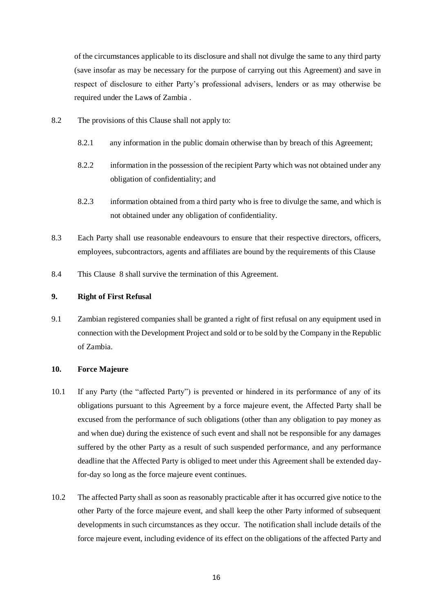of the circumstances applicable to its disclosure and shall not divulge the same to any third party (save insofar as may be necessary for the purpose of carrying out this Agreement) and save in respect of disclosure to either Party's professional advisers, lenders or as may otherwise be required under the Law**s** of Zambia .

- 8.2 The provisions of this Clause shall not apply to:
	- 8.2.1 any information in the public domain otherwise than by breach of this Agreement;
	- 8.2.2 information in the possession of the recipient Party which was not obtained under any obligation of confidentiality; and
	- 8.2.3 information obtained from a third party who is free to divulge the same, and which is not obtained under any obligation of confidentiality.
- 8.3 Each Party shall use reasonable endeavours to ensure that their respective directors, officers, employees, subcontractors, agents and affiliates are bound by the requirements of this Clause
- 8.4 This Clause 8 shall survive the termination of this Agreement.

#### **9. Right of First Refusal**

9.1 Zambian registered companies shall be granted a right of first refusal on any equipment used in connection with the Development Project and sold or to be sold by the Company in the Republic of Zambia.

#### **10. Force Majeure**

- <span id="page-15-0"></span>10.1 If any Party (the "affected Party") is prevented or hindered in its performance of any of its obligations pursuant to this Agreement by a force majeure event, the Affected Party shall be excused from the performance of such obligations (other than any obligation to pay money as and when due) during the existence of such event and shall not be responsible for any damages suffered by the other Party as a result of such suspended performance, and any performance deadline that the Affected Party is obliged to meet under this Agreement shall be extended dayfor-day so long as the force majeure event continues.
- 10.2 The affected Party shall as soon as reasonably practicable after it has occurred give notice to the other Party of the force majeure event, and shall keep the other Party informed of subsequent developments in such circumstances as they occur. The notification shall include details of the force majeure event, including evidence of its effect on the obligations of the affected Party and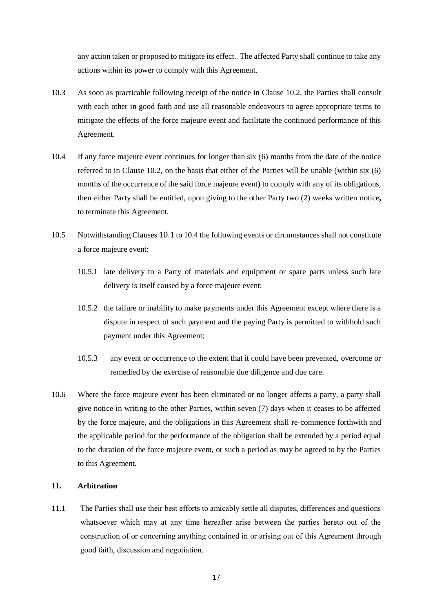any action taken or proposed to mitigate its effect. The affected Party shall continue to take any actions within its power to comply with this Agreement.

- 10.3 As soon as practicable following receipt of the notice in Clause 10.2, the Parties shall consult with each other in good faith and use all reasonable endeavours to agree appropriate terms to mitigate the effects of the force majeure event and facilitate the continued performance of this Agreement.
- 10.4 If any force majeure event continues for longer than six (6) months from the date of the notice referred to in Clause 10.2, on the basis that either of the Parties will be unable (within six (6) months of the occurrence of the said force majeure event) to comply with any of its obligations, then either Party shall be entitled, upon giving to the other Party two (2) weeks written notice**,**  to terminate this Agreement.
- 10.5 Notwithstanding Clauses 10.1 to 10.4 the following events or circumstances shall not constitute a force majeure event:
	- 10.5.1 late delivery to a Party of materials and equipment or spare parts unless such late delivery is itself caused by a force majeure event;
	- 10.5.2 the failure or inability to make payments under this Agreement except where there is a dispute in respect of such payment and the paying Party is permitted to withhold such payment under this Agreement;
	- 10.5.3 any event or occurrence to the extent that it could have been prevented, overcome or remedied by the exercise of reasonable due diligence and due care.
- 10.6 Where the force majeure event has been eliminated or no longer affects a party, a party shall give notice in writing to the other Parties, within seven (7) days when it ceases to be affected by the force majeure, and the obligations in this Agreement shall re-commence forthwith and the applicable period for the performance of the obligation shall be extended by a period equal to the duration of the force majeure event, or such a period as may be agreed to by the Parties to this Agreement.

# **11. Arbitration**

11.1 The Parties shall use their best efforts to amicably settle all disputes, differences and questions whatsoever which may at any time hereafter arise between the parties hereto out of the construction of or concerning anything contained in or arising out of this Agreement through good faith, discussion and negotiation.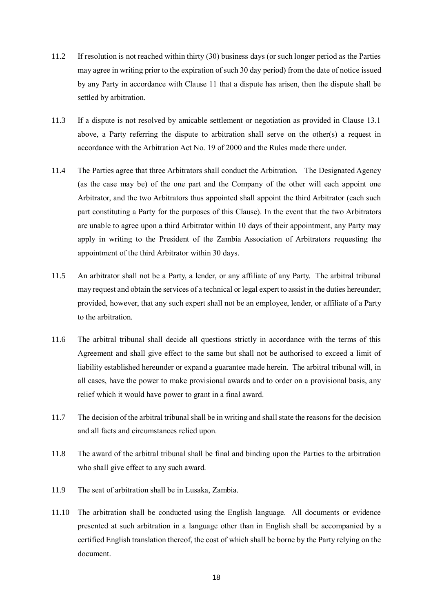- 11.2 If resolution is not reached within thirty (30) business days (or such longer period as the Parties may agree in writing prior to the expiration of such 30 day period) from the date of notice issued by any Party in accordance with Clause 11 that a dispute has arisen, then the dispute shall be settled by arbitration.
- 11.3 If a dispute is not resolved by amicable settlement or negotiation as provided in Clause 13.1 above, a Party referring the dispute to arbitration shall serve on the other(s) a request in accordance with the Arbitration Act No. 19 of 2000 and the Rules made there under.
- 11.4 The Parties agree that three Arbitrators shall conduct the Arbitration. The Designated Agency (as the case may be) of the one part and the Company of the other will each appoint one Arbitrator, and the two Arbitrators thus appointed shall appoint the third Arbitrator (each such part constituting a Party for the purposes of this Clause). In the event that the two Arbitrators are unable to agree upon a third Arbitrator within 10 days of their appointment, any Party may apply in writing to the President of the Zambia Association of Arbitrators requesting the appointment of the third Arbitrator within 30 days.
- 11.5 An arbitrator shall not be a Party, a lender, or any affiliate of any Party. The arbitral tribunal may request and obtain the services of a technical or legal expert to assist in the duties hereunder; provided, however, that any such expert shall not be an employee, lender, or affiliate of a Party to the arbitration.
- 11.6 The arbitral tribunal shall decide all questions strictly in accordance with the terms of this Agreement and shall give effect to the same but shall not be authorised to exceed a limit of liability established hereunder or expand a guarantee made herein. The arbitral tribunal will, in all cases, have the power to make provisional awards and to order on a provisional basis, any relief which it would have power to grant in a final award.
- 11.7 The decision of the arbitral tribunal shall be in writing and shall state the reasons for the decision and all facts and circumstances relied upon.
- 11.8 The award of the arbitral tribunal shall be final and binding upon the Parties to the arbitration who shall give effect to any such award.
- 11.9 The seat of arbitration shall be in Lusaka, Zambia.
- 11.10 The arbitration shall be conducted using the English language. All documents or evidence presented at such arbitration in a language other than in English shall be accompanied by a certified English translation thereof, the cost of which shall be borne by the Party relying on the document.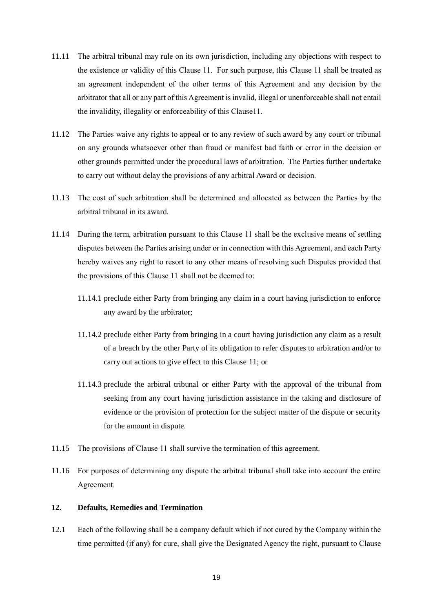- 11.11 The arbitral tribunal may rule on its own jurisdiction, including any objections with respect to the existence or validity of this Clause 11. For such purpose, this Clause 11 shall be treated as an agreement independent of the other terms of this Agreement and any decision by the arbitrator that all or any part of this Agreement is invalid, illegal or unenforceable shall not entail the invalidity, illegality or enforceability of this Clause11.
- 11.12 The Parties waive any rights to appeal or to any review of such award by any court or tribunal on any grounds whatsoever other than fraud or manifest bad faith or error in the decision or other grounds permitted under the procedural laws of arbitration. The Parties further undertake to carry out without delay the provisions of any arbitral Award or decision.
- 11.13 The cost of such arbitration shall be determined and allocated as between the Parties by the arbitral tribunal in its award.
- 11.14 During the term, arbitration pursuant to this Clause 11 shall be the exclusive means of settling disputes between the Parties arising under or in connection with this Agreement, and each Party hereby waives any right to resort to any other means of resolving such Disputes provided that the provisions of this Clause 11 shall not be deemed to:
	- 11.14.1 preclude either Party from bringing any claim in a court having jurisdiction to enforce any award by the arbitrator;
	- 11.14.2 preclude either Party from bringing in a court having jurisdiction any claim as a result of a breach by the other Party of its obligation to refer disputes to arbitration and/or to carry out actions to give effect to this Clause 11; or
	- 11.14.3 preclude the arbitral tribunal or either Party with the approval of the tribunal from seeking from any court having jurisdiction assistance in the taking and disclosure of evidence or the provision of protection for the subject matter of the dispute or security for the amount in dispute.
- 11.15 The provisions of Clause 11 shall survive the termination of this agreement.
- 11.16 For purposes of determining any dispute the arbitral tribunal shall take into account the entire Agreement.

#### **12. Defaults, Remedies and Termination**

<span id="page-18-0"></span>12.1 Each of the following shall be a company default which if not cured by the Company within the time permitted (if any) for cure, shall give the Designated Agency the right, pursuant to Clause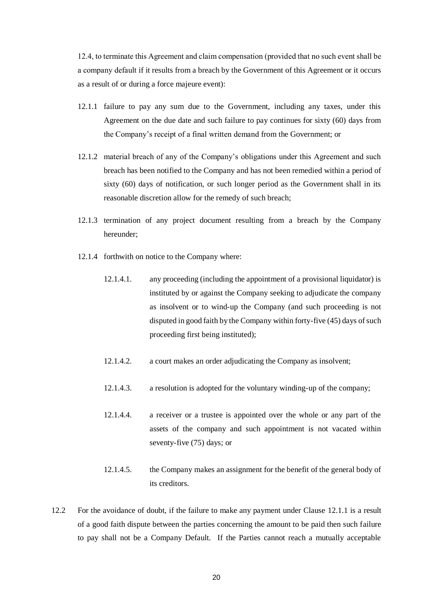12.4, to terminate this Agreement and claim compensation (provided that no such event shall be a company default if it results from a breach by the Government of this Agreement or it occurs as a result of or during a force majeure event):

- 12.1.1 failure to pay any sum due to the Government, including any taxes, under this Agreement on the due date and such failure to pay continues for sixty (60) days from the Company's receipt of a final written demand from the Government; or
- 12.1.2 material breach of any of the Company's obligations under this Agreement and such breach has been notified to the Company and has not been remedied within a period of sixty (60) days of notification, or such longer period as the Government shall in its reasonable discretion allow for the remedy of such breach;
- 12.1.3 termination of any project document resulting from a breach by the Company hereunder;
- 12.1.4 forthwith on notice to the Company where:
	- 12.1.4.1. any proceeding (including the appointment of a provisional liquidator) is instituted by or against the Company seeking to adjudicate the company as insolvent or to wind-up the Company (and such proceeding is not disputed in good faith by the Company within forty-five (45) days of such proceeding first being instituted);
	- 12.1.4.2. a court makes an order adjudicating the Company as insolvent;
	- 12.1.4.3. a resolution is adopted for the voluntary winding-up of the company;
	- 12.1.4.4. a receiver or a trustee is appointed over the whole or any part of the assets of the company and such appointment is not vacated within seventy-five (75) days; or
	- 12.1.4.5. the Company makes an assignment for the benefit of the general body of its creditors.
- 12.2 For the avoidance of doubt, if the failure to make any payment under Clause 12.1.1 is a result of a good faith dispute between the parties concerning the amount to be paid then such failure to pay shall not be a Company Default. If the Parties cannot reach a mutually acceptable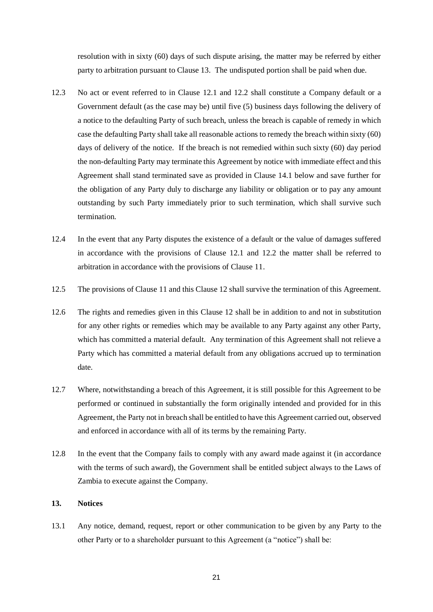resolution with in sixty (60) days of such dispute arising, the matter may be referred by either party to arbitration pursuant to Clause 13. The undisputed portion shall be paid when due.

- 12.3 No act or event referred to in Clause 12.1 and 12.2 shall constitute a Company default or a Government default (as the case may be) until five (5) business days following the delivery of a notice to the defaulting Party of such breach, unless the breach is capable of remedy in which case the defaulting Party shall take all reasonable actions to remedy the breach within sixty (60) days of delivery of the notice. If the breach is not remedied within such sixty (60) day period the non-defaulting Party may terminate this Agreement by notice with immediate effect and this Agreement shall stand terminated save as provided in Clause 14.1 below and save further for the obligation of any Party duly to discharge any liability or obligation or to pay any amount outstanding by such Party immediately prior to such termination, which shall survive such termination.
- 12.4 In the event that any Party disputes the existence of a default or the value of damages suffered in accordance with the provisions of Clause 12.1 and 12.2 the matter shall be referred to arbitration in accordance with the provisions of Clause 11.
- 12.5 The provisions of Clause 11 and this Clause 12 shall survive the termination of this Agreement.
- 12.6 The rights and remedies given in this Clause 12 shall be in addition to and not in substitution for any other rights or remedies which may be available to any Party against any other Party, which has committed a material default. Any termination of this Agreement shall not relieve a Party which has committed a material default from any obligations accrued up to termination date.
- 12.7 Where, notwithstanding a breach of this Agreement, it is still possible for this Agreement to be performed or continued in substantially the form originally intended and provided for in this Agreement, the Party not in breach shall be entitled to have this Agreement carried out, observed and enforced in accordance with all of its terms by the remaining Party.
- 12.8 In the event that the Company fails to comply with any award made against it (in accordance with the terms of such award), the Government shall be entitled subject always to the Laws of Zambia to execute against the Company.

#### <span id="page-20-0"></span>**13. Notices**

13.1 Any notice, demand, request, report or other communication to be given by any Party to the other Party or to a shareholder pursuant to this Agreement (a "notice") shall be: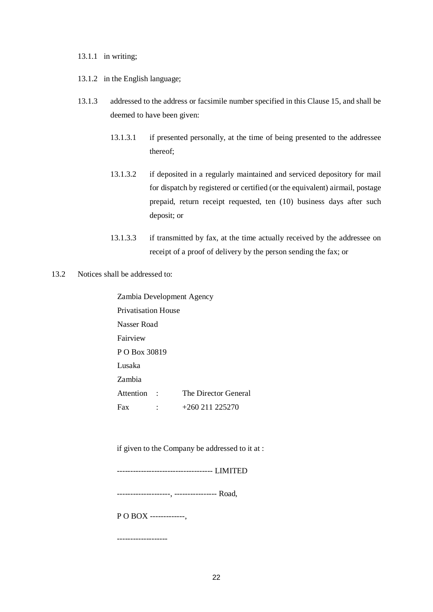#### 13.1.1 in writing;

- 13.1.2 in the English language;
- 13.1.3 addressed to the address or facsimile number specified in this Clause 15, and shall be deemed to have been given:
	- 13.1.3.1 if presented personally, at the time of being presented to the addressee thereof;
	- 13.1.3.2 if deposited in a regularly maintained and serviced depository for mail for dispatch by registered or certified (or the equivalent) airmail, postage prepaid, return receipt requested, ten (10) business days after such deposit; or
	- 13.1.3.3 if transmitted by fax, at the time actually received by the addressee on receipt of a proof of delivery by the person sending the fax; or
- 13.2 Notices shall be addressed to:
	- Zambia Development Agency Privatisation House Nasser Road Fairview P O Box 30819 Lusaka Zambia Attention : The Director General Fax : +260 211 225270

if given to the Company be addressed to it at :

------------------------------------ LIMITED

--------------------, ---------------- Road,

P O BOX -------------,

-------------------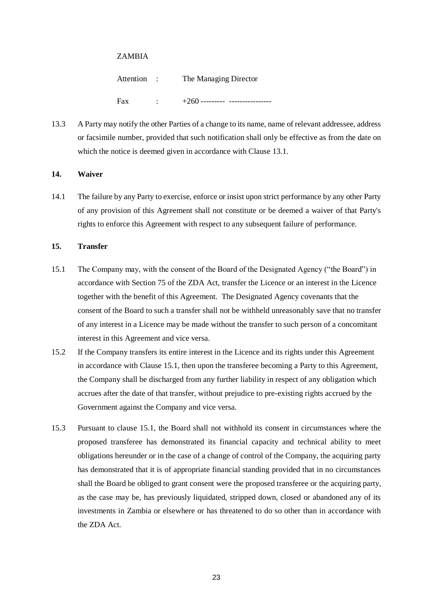#### ZAMBIA

Attention : The Managing Director Fax : +260 --------- ----------------

13.3 A Party may notify the other Parties of a change to its name, name of relevant addressee, address or facsimile number, provided that such notification shall only be effective as from the date on which the notice is deemed given in accordance with Clause 13.1.

#### **14. Waiver**

14.1 The failure by any Party to exercise, enforce or insist upon strict performance by any other Party of any provision of this Agreement shall not constitute or be deemed a waiver of that Party's rights to enforce this Agreement with respect to any subsequent failure of performance.

#### **15. Transfer**

- 15.1 The Company may, with the consent of the Board of the Designated Agency ("the Board") in accordance with Section 75 of the ZDA Act, transfer the Licence or an interest in the Licence together with the benefit of this Agreement. The Designated Agency covenants that the consent of the Board to such a transfer shall not be withheld unreasonably save that no transfer of any interest in a Licence may be made without the transfer to such person of a concomitant interest in this Agreement and vice versa.
- 15.2 If the Company transfers its entire interest in the Licence and its rights under this Agreement in accordance with Clause 15.1, then upon the transferee becoming a Party to this Agreement, the Company shall be discharged from any further liability in respect of any obligation which accrues after the date of that transfer, without prejudice to pre-existing rights accrued by the Government against the Company and vice versa.
- 15.3 Pursuant to clause 15.1, the Board shall not withhold its consent in circumstances where the proposed transferee has demonstrated its financial capacity and technical ability to meet obligations hereunder or in the case of a change of control of the Company, the acquiring party has demonstrated that it is of appropriate financial standing provided that in no circumstances shall the Board be obliged to grant consent were the proposed transferee or the acquiring party, as the case may be, has previously liquidated, stripped down, closed or abandoned any of its investments in Zambia or elsewhere or has threatened to do so other than in accordance with the ZDA Act.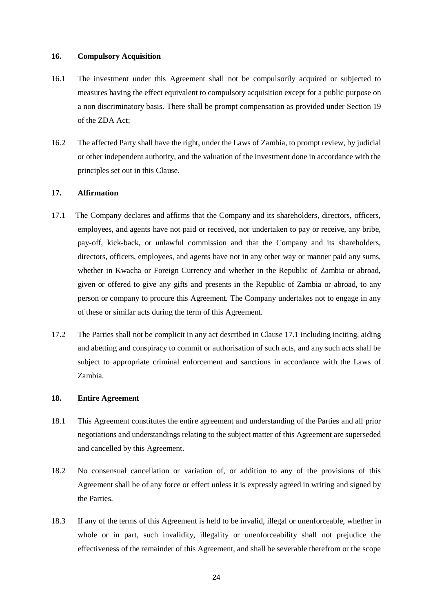#### **16. Compulsory Acquisition**

- 16.1 The investment under this Agreement shall not be compulsorily acquired or subjected to measures having the effect equivalent to compulsory acquisition except for a public purpose on a non discriminatory basis. There shall be prompt compensation as provided under Section 19 of the ZDA Act;
- 16.2 The affected Party shall have the right, under the Laws of Zambia, to prompt review, by judicial or other independent authority, and the valuation of the investment done in accordance with the principles set out in this Clause.

#### **17. Affirmation**

- 17.1 The Company declares and affirms that the Company and its shareholders, directors, officers, employees, and agents have not paid or received, nor undertaken to pay or receive, any bribe, pay-off, kick-back, or unlawful commission and that the Company and its shareholders, directors, officers, employees, and agents have not in any other way or manner paid any sums, whether in Kwacha or Foreign Currency and whether in the Republic of Zambia or abroad, given or offered to give any gifts and presents in the Republic of Zambia or abroad, to any person or company to procure this Agreement. The Company undertakes not to engage in any of these or similar acts during the term of this Agreement.
- 17.2 The Parties shall not be complicit in any act described in Clause 17.1 including inciting, aiding and abetting and conspiracy to commit or authorisation of such acts, and any such acts shall be subject to appropriate criminal enforcement and sanctions in accordance with the Laws of Zambia.

#### **18. Entire Agreement**

- 18.1 This Agreement constitutes the entire agreement and understanding of the Parties and all prior negotiations and understandings relating to the subject matter of this Agreement are superseded and cancelled by this Agreement.
- 18.2 No consensual cancellation or variation of, or addition to any of the provisions of this Agreement shall be of any force or effect unless it is expressly agreed in writing and signed by the Parties.
- 18.3 If any of the terms of this Agreement is held to be invalid, illegal or unenforceable, whether in whole or in part, such invalidity, illegality or unenforceability shall not prejudice the effectiveness of the remainder of this Agreement, and shall be severable therefrom or the scope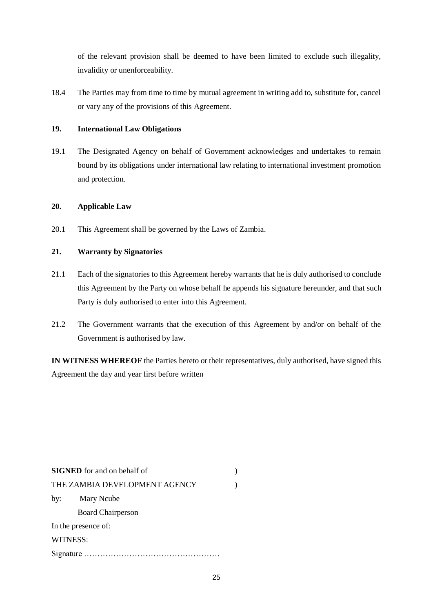of the relevant provision shall be deemed to have been limited to exclude such illegality, invalidity or unenforceability.

18.4 The Parties may from time to time by mutual agreement in writing add to, substitute for, cancel or vary any of the provisions of this Agreement.

## **19. International Law Obligations**

19.1 The Designated Agency on behalf of Government acknowledges and undertakes to remain bound by its obligations under international law relating to international investment promotion and protection.

### **20. Applicable Law**

20.1 This Agreement shall be governed by the Laws of Zambia.

# **21. Warranty by Signatories**

- 21.1 Each of the signatories to this Agreement hereby warrants that he is duly authorised to conclude this Agreement by the Party on whose behalf he appends his signature hereunder, and that such Party is duly authorised to enter into this Agreement.
- 21.2 The Government warrants that the execution of this Agreement by and/or on behalf of the Government is authorised by law.

**IN WITNESS WHEREOF** the Parties hereto or their representatives, duly authorised, have signed this Agreement the day and year first before written

| <b>SIGNED</b> for and on behalf of |  |  |  |  |
|------------------------------------|--|--|--|--|
| THE ZAMBIA DEVELOPMENT AGENCY      |  |  |  |  |
| by:<br>Mary Ncube                  |  |  |  |  |
| <b>Board Chairperson</b>           |  |  |  |  |
| In the presence of:                |  |  |  |  |
| WITNESS:                           |  |  |  |  |
|                                    |  |  |  |  |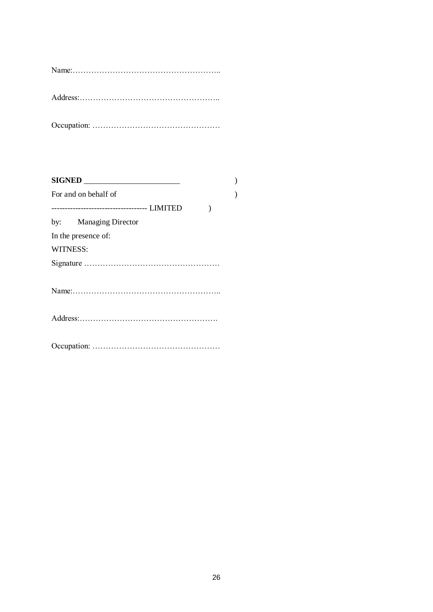Address:……………………………………………..

Occupation: …………………………………………

|                 | <b>SIGNED</b>         |  |
|-----------------|-----------------------|--|
|                 | For and on behalf of  |  |
|                 |                       |  |
|                 | by: Managing Director |  |
|                 | In the presence of:   |  |
| <b>WITNESS:</b> |                       |  |
|                 |                       |  |
|                 |                       |  |
|                 |                       |  |
|                 |                       |  |
|                 |                       |  |
|                 |                       |  |
|                 |                       |  |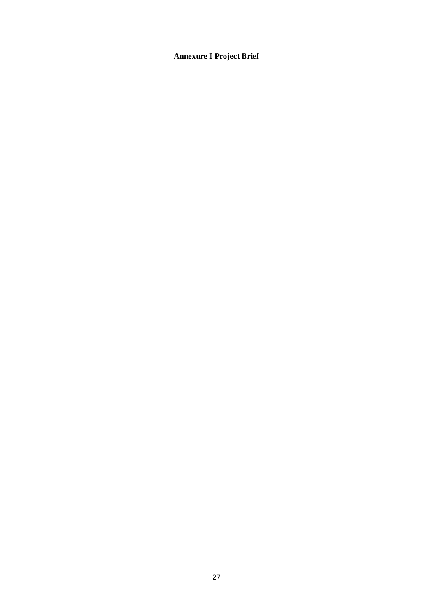# **Annexure I Project Brief**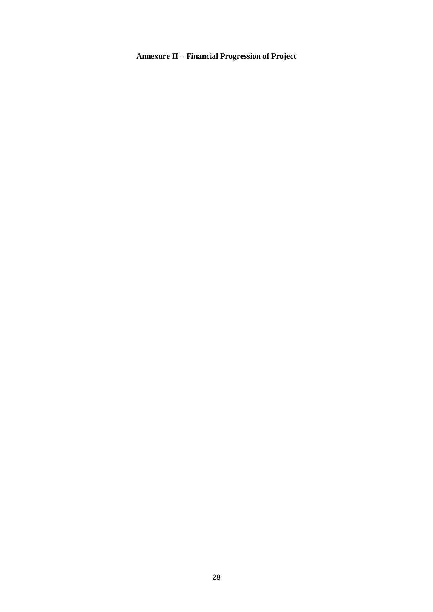# **Annexure II – Financial Progression of Project**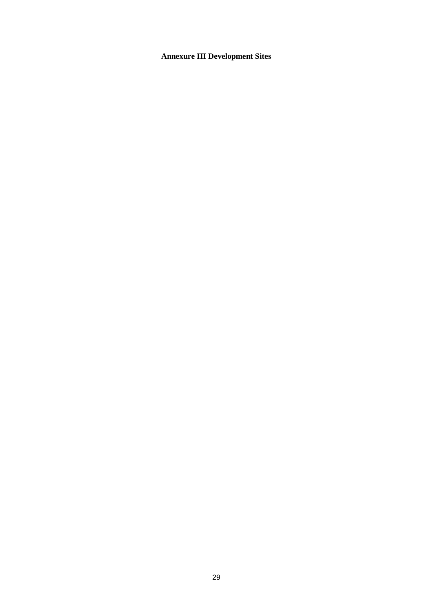# **Annexure III Development Sites**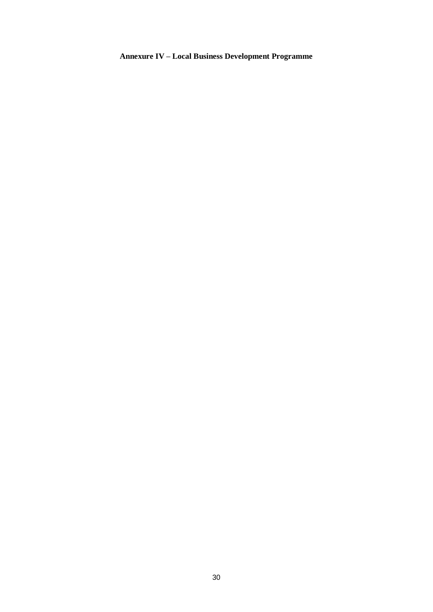# **Annexure IV – Local Business Development Programme**